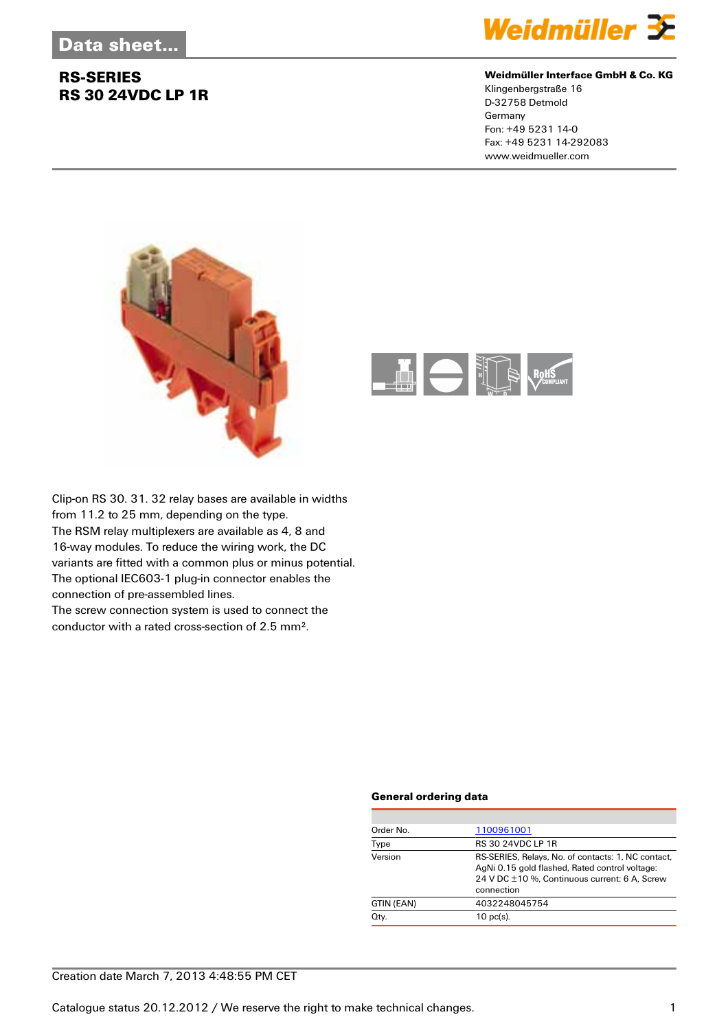## **RS-SERIES RS 30 24VDC LP 1R**



#### **Weidmüller Interface GmbH & Co. KG**

Klingenbergstraße 16 D-32758 Detmold Germany Fon: +49 5231 14-0 Fax: +49 5231 14-292083 www.weidmueller.com





Clip-on RS 30. 31. 32 relay bases are available in widths from 11.2 to 25 mm, depending on the type. The RSM relay multiplexers are available as 4, 8 and 16-way modules. To reduce the wiring work, the DC variants are fitted with a common plus or minus potential. The optional IEC603-1 plug-in connector enables the connection of pre-assembled lines.

The screw connection system is used to connect the conductor with a rated cross-section of 2.5 mm².

#### **General ordering data**

| Order No.  | 1100961001                                                                                                                                                          |
|------------|---------------------------------------------------------------------------------------------------------------------------------------------------------------------|
| Type       | <b>RS 30 24VDC LP 1R</b>                                                                                                                                            |
| Version    | RS-SERIES, Relays, No. of contacts: 1, NC contact,<br>AgNi 0.15 gold flashed, Rated control voltage:<br>24 V DC ±10 %, Continuous current: 6 A, Screw<br>connection |
| GTIN (EAN) | 4032248045754                                                                                                                                                       |
| Qty.       | $10$ pc(s).                                                                                                                                                         |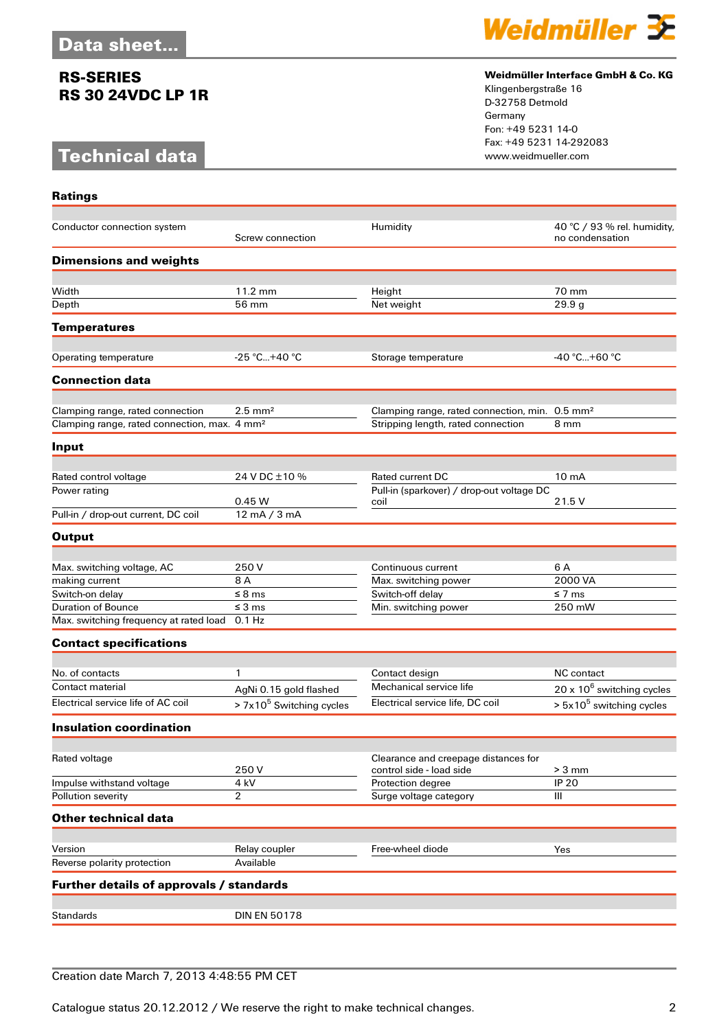## **RS-SERIES RS 30 24VDC LP 1R**

# **Technical data**

**Ratings**



#### **Weidmüller Interface GmbH & Co. KG**

Klingenbergstraße 16 D-32758 Detmold Germany Fon: +49 5231 14-0 Fax: +49 5231 14-292083

| Conductor connection system                              | Screw connection           | Humidity                                                         | 40 °C / 93 % rel. humidity,<br>no condensation |
|----------------------------------------------------------|----------------------------|------------------------------------------------------------------|------------------------------------------------|
| <b>Dimensions and weights</b>                            |                            |                                                                  |                                                |
|                                                          |                            |                                                                  |                                                |
| Width                                                    | 11.2 mm                    | Height                                                           | 70 mm                                          |
| Depth                                                    | 56 mm                      | Net weight                                                       | 29.9 g                                         |
| <b>Temperatures</b>                                      |                            |                                                                  |                                                |
|                                                          |                            |                                                                  |                                                |
| Operating temperature                                    | -25 °C+40 °C               | Storage temperature                                              | -40 °C+60 °C                                   |
| <b>Connection data</b>                                   |                            |                                                                  |                                                |
| Clamping range, rated connection                         | $2.5$ mm <sup>2</sup>      | Clamping range, rated connection, min. 0.5 mm <sup>2</sup>       |                                                |
| Clamping range, rated connection, max. 4 mm <sup>2</sup> |                            | Stripping length, rated connection                               | 8 mm                                           |
| Input                                                    |                            |                                                                  |                                                |
|                                                          |                            |                                                                  |                                                |
| Rated control voltage                                    | 24 V DC ±10 %              | Rated current DC                                                 | $10 \text{ mA}$                                |
| Power rating                                             |                            | Pull-in (sparkover) / drop-out voltage DC                        |                                                |
| Pull-in / drop-out current, DC coil                      | 0.45W<br>12 mA / 3 mA      | coil                                                             | 21.5 V                                         |
|                                                          |                            |                                                                  |                                                |
| <b>Output</b>                                            |                            |                                                                  |                                                |
|                                                          | 250 V                      |                                                                  | 6 A                                            |
| Max. switching voltage, AC<br>making current             | 8 A                        | Continuous current<br>Max. switching power                       | 2000 VA                                        |
| Switch-on delay                                          | $\leq$ 8 ms                | Switch-off delay                                                 | ≤ 7 ms                                         |
| <b>Duration of Bounce</b>                                | $\leq 3$ ms                | Min. switching power                                             | 250 mW                                         |
| Max. switching frequency at rated load 0.1 Hz            |                            |                                                                  |                                                |
| <b>Contact specifications</b>                            |                            |                                                                  |                                                |
|                                                          |                            |                                                                  |                                                |
| No. of contacts                                          | 1                          | Contact design                                                   | NC contact                                     |
| Contact material                                         | AgNi 0.15 gold flashed     | Mechanical service life                                          | $20 \times 10^6$ switching cycles              |
| Electrical service life of AC coil                       | $> 7x105$ Switching cycles | Electrical service life, DC coil                                 | $> 5x10^5$ switching cycles                    |
| <b>Insulation coordination</b>                           |                            |                                                                  |                                                |
|                                                          |                            |                                                                  |                                                |
| Rated voltage                                            | 250 V                      | Clearance and creepage distances for<br>control side - load side | $> 3$ mm                                       |
| Impulse withstand voltage                                | 4 kV                       | Protection degree                                                | <b>IP 20</b>                                   |
| Pollution severity                                       | $\overline{2}$             | Surge voltage category                                           | Ш                                              |
| <b>Other technical data</b>                              |                            |                                                                  |                                                |
|                                                          |                            |                                                                  |                                                |
| Version                                                  | Relay coupler              | Free-wheel diode                                                 | Yes                                            |
| Reverse polarity protection                              | Available                  |                                                                  |                                                |
| Further details of approvals / standards                 |                            |                                                                  |                                                |
|                                                          |                            |                                                                  |                                                |
| <b>Standards</b>                                         | <b>DIN EN 50178</b>        |                                                                  |                                                |